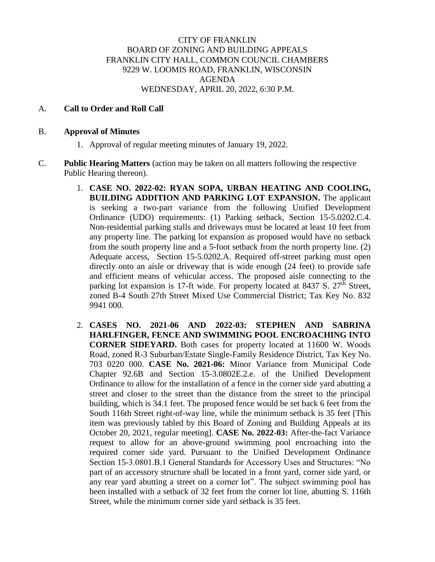## CITY OF FRANKLIN BOARD OF ZONING AND BUILDING APPEALS FRANKLIN CITY HALL, COMMON COUNCIL CHAMBERS 9229 W. LOOMIS ROAD, FRANKLIN, WISCONSIN AGENDA WEDNESDAY, APRIL 20, 2022, 6:30 P.M.

## A. **Call to Order and Roll Call**

## B. **Approval of Minutes**

- 1. Approval of regular meeting minutes of January 19, 2022.
- C. **Public Hearing Matters** (action may be taken on all matters following the respective Public Hearing thereon).
	- 1. **CASE NO. 2022-02: RYAN SOPA, URBAN HEATING AND COOLING, BUILDING ADDITION AND PARKING LOT EXPANSION.** The applicant is seeking a two-part variance from the following Unified Development Ordinance (UDO) requirements: (1) Parking setback, Section 15-5.0202.C.4. Non-residential parking stalls and driveways must be located at least 10 feet from any property line. The parking lot expansion as proposed would have no setback from the south property line and a 5-foot setback from the north property line. (2) Adequate access, Section 15-5.0202.A. Required off-street parking must open directly onto an aisle or driveway that is wide enough (24 feet) to provide safe and efficient means of vehicular access. The proposed aisle connecting to the parking lot expansion is 17-ft wide. For property located at 8437 S.  $27<sup>th</sup>$  Street, zoned B-4 South 27th Street Mixed Use Commercial District; Tax Key No. 832 9941 000.
	- 2. **CASES NO. 2021-06 AND 2022-03: STEPHEN AND SABRINA HARLFINGER, FENCE AND SWIMMING POOL ENCROACHING INTO CORNER SIDEYARD.** Both cases for property located at 11600 W. Woods Road, zoned R-3 Suburban/Estate Single-Family Residence District, Tax Key No. 703 0220 000. **CASE No. 2021-06:** Minor Variance from Municipal Code Chapter 92.6B and Section 15-3.0802E.2.e. of the Unified Development Ordinance to allow for the installation of a fence in the corner side yard abutting a street and closer to the street than the distance from the street to the principal building, which is 34.1 feet. The proposed fence would be set back 6 feet from the South 116th Street right-of-way line, while the minimum setback is 35 feet [This item was previously tabled by this Board of Zoning and Building Appeals at its October 20, 2021, regular meeting]. **CASE No. 2022-03:** After-the-fact Variance request to allow for an above-ground swimming pool encroaching into the required corner side yard. Pursuant to the Unified Development Ordinance Section 15-3.0801.B.1 General Standards for Accessory Uses and Structures: "No part of an accessory structure shall be located in a front yard, corner side yard, or any rear yard abutting a street on a corner lot". The subject swimming pool has been installed with a setback of 32 feet from the corner lot line, abutting S. 116th Street, while the minimum corner side yard setback is 35 feet.